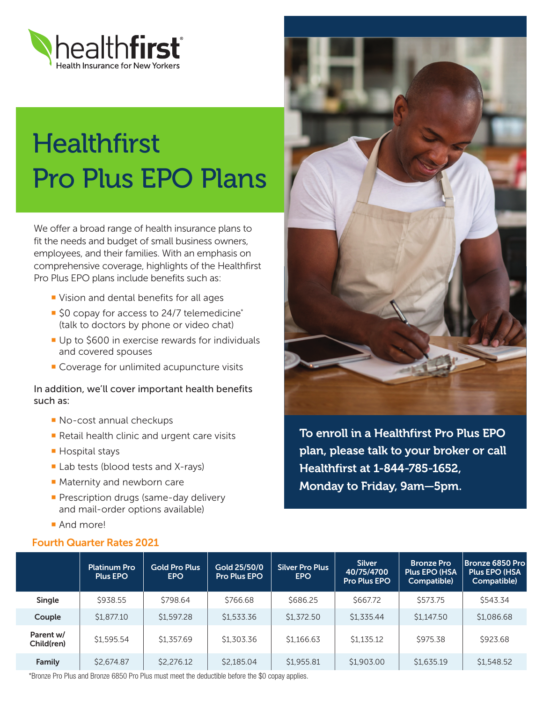

## **Healthfirst** Pro Plus EPO Plans

We offer a broad range of health insurance plans to fit the needs and budget of small business owners, employees, and their families. With an emphasis on comprehensive coverage, highlights of the Healthfirst Pro Plus EPO plans include benefits such as:

- ¡ Vision and dental benefits for all ages
- \$0 copay for access to 24/7 telemedicine<sup>\*</sup> (talk to doctors by phone or video chat)
- Up to \$600 in exercise rewards for individuals and covered spouses
- Coverage for unlimited acupuncture visits

In addition, we'll cover important health benefits such as:

- ¡ No-cost annual checkups
- Retail health clinic and urgent care visits
- Hospital stays
- Lab tests (blood tests and X-rays)
- Maternity and newborn care
- **Prescription drugs (same-day delivery** and mail-order options available)
- **And morel**

## Fourth Quarter Rates 2021



To enroll in a Healthfirst Pro Plus EPO plan, please talk to your broker or call Healthfirst at 1-844-785-1652, Monday to Friday, 9am—5pm.

|                         | <b>Platinum Pro</b><br><b>Plus EPO</b> | <b>Gold Pro Plus</b><br>EPO | Gold 25/50/0<br><b>Pro Plus EPO</b> | <b>Silver Pro Plus</b><br>EPO | <b>Silver</b><br>40/75/4700<br><b>Pro Plus EPO</b> | <b>Bronze Pro</b><br><b>Plus EPO (HSA)</b><br>Compatible) | Bronze 6850 Pro<br><b>Plus EPO (HSA)</b><br>Compatible) |
|-------------------------|----------------------------------------|-----------------------------|-------------------------------------|-------------------------------|----------------------------------------------------|-----------------------------------------------------------|---------------------------------------------------------|
| Single                  | \$938.55                               | \$798.64                    | \$766.68                            | \$686.25                      | \$667.72                                           | \$573.75                                                  | \$543.34                                                |
| Couple                  | \$1,877.10                             | \$1,597.28                  | \$1,533.36                          | \$1,372.50                    | \$1,335.44                                         | \$1,147.50                                                | \$1,086.68                                              |
| Parent w/<br>Child(ren) | \$1,595.54                             | \$1,357.69                  | \$1,303.36                          | \$1.166.63                    | \$1,135.12                                         | \$975.38                                                  | \$923.68                                                |
| Family                  | \$2,674.87                             | \$2,276.12                  | \$2,185.04                          | \$1,955.81                    | \$1,903.00                                         | \$1,635.19                                                | \$1,548.52                                              |

\*Bronze Pro Plus and Bronze 6850 Pro Plus must meet the deductible before the \$0 copay applies.